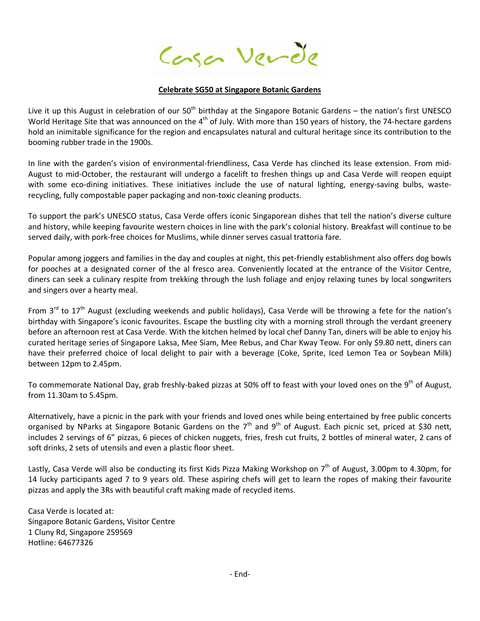Conson Verde

## **Celebrate SG50 at Singapore Botanic Gardens**

Live it up this August in celebration of our 50<sup>th</sup> birthday at the Singapore Botanic Gardens – the nation's first UNESCO World Heritage Site that was announced on the 4<sup>th</sup> of July. With more than 150 years of history, the 74-hectare gardens hold an inimitable significance for the region and encapsulates natural and cultural heritage since its contribution to the booming rubber trade in the 1900s.

In line with the garden's vision of environmental-friendliness, Casa Verde has clinched its lease extension. From mid-August to mid-October, the restaurant will undergo a facelift to freshen things up and Casa Verde will reopen equipt with some eco-dining initiatives. These initiatives include the use of natural lighting, energy-saving bulbs, wasterecycling, fully compostable paper packaging and non-toxic cleaning products.

To support the park's UNESCO status, Casa Verde offers iconic Singaporean dishes that tell the nation's diverse culture and history, while keeping favourite western choices in line with the park's colonial history. Breakfast will continue to be served daily, with pork-free choices for Muslims, while dinner serves casual trattoria fare.

Popular among joggers and families in the day and couples at night, this pet-friendly establishment also offers dog bowls for pooches at a designated corner of the al fresco area. Conveniently located at the entrance of the Visitor Centre, diners can seek a culinary respite from trekking through the lush foliage and enjoy relaxing tunes by local songwriters and singers over a hearty meal.

From  $3^{rd}$  to  $17^{th}$  August (excluding weekends and public holidays), Casa Verde will be throwing a fete for the nation's birthday with Singapore's iconic favourites. Escape the bustling city with a morning stroll through the verdant greenery before an afternoon rest at Casa Verde. With the kitchen helmed by local chef Danny Tan, diners will be able to enjoy his curated heritage series of Singapore Laksa, Mee Siam, Mee Rebus, and Char Kway Teow. For only \$9.80 nett, diners can have their preferred choice of local delight to pair with a beverage (Coke, Sprite, Iced Lemon Tea or Soybean Milk) between 12pm to 2.45pm.

To commemorate National Day, grab freshly-baked pizzas at 50% off to feast with your loved ones on the 9<sup>th</sup> of August, from 11.30am to 5.45pm.

Alternatively, have a picnic in the park with your friends and loved ones while being entertained by free public concerts organised by NParks at Singapore Botanic Gardens on the  $7<sup>th</sup>$  and  $9<sup>th</sup>$  of August. Each picnic set, priced at \$30 nett, includes 2 servings of 6" pizzas, 6 pieces of chicken nuggets, fries, fresh cut fruits, 2 bottles of mineral water, 2 cans of soft drinks, 2 sets of utensils and even a plastic floor sheet.

Lastly, Casa Verde will also be conducting its first Kids Pizza Making Workshop on  $7<sup>th</sup>$  of August, 3.00pm to 4.30pm, for 14 lucky participants aged 7 to 9 years old. These aspiring chefs will get to learn the ropes of making their favourite pizzas and apply the 3Rs with beautiful craft making made of recycled items.

Casa Verde is located at: Singapore Botanic Gardens, Visitor Centre 1 Cluny Rd, Singapore 259569 Hotline: 64677326